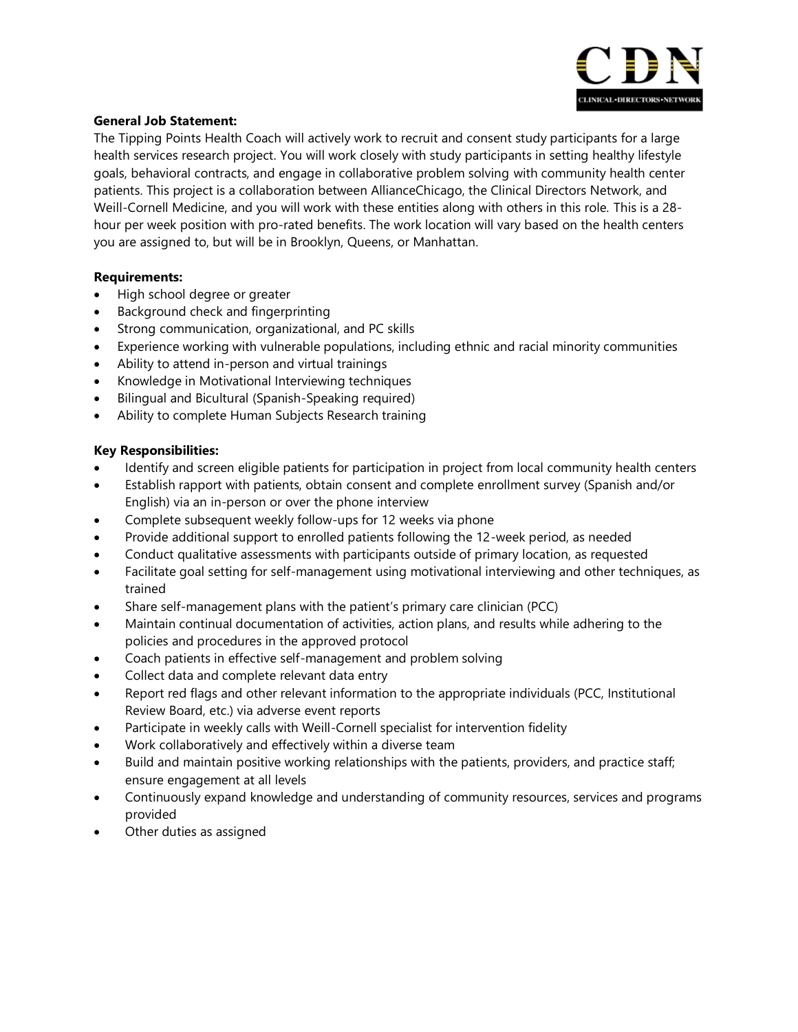

# **General Job Statement:**

The Tipping Points Health Coach will actively work to recruit and consent study participants for a large health services research project. You will work closely with study participants in setting healthy lifestyle goals, behavioral contracts, and engage in collaborative problem solving with community health center patients. This project is a collaboration between AllianceChicago, the Clinical Directors Network, and Weill-Cornell Medicine, and you will work with these entities along with others in this role. This is a 28 hour per week position with pro-rated benefits. The work location will vary based on the health centers you are assigned to, but will be in Brooklyn, Queens, or Manhattan.

### **Requirements:**

- High school degree or greater
- Background check and fingerprinting
- Strong communication, organizational, and PC skills
- Experience working with vulnerable populations, including ethnic and racial minority communities
- Ability to attend in-person and virtual trainings
- Knowledge in Motivational Interviewing techniques
- Bilingual and Bicultural (Spanish-Speaking required)
- Ability to complete Human Subjects Research training

### **Key Responsibilities:**

- Identify and screen eligible patients for participation in project from local community health centers
- Establish rapport with patients, obtain consent and complete enrollment survey (Spanish and/or English) via an in-person or over the phone interview
- Complete subsequent weekly follow-ups for 12 weeks via phone
- Provide additional support to enrolled patients following the 12-week period, as needed
- Conduct qualitative assessments with participants outside of primary location, as requested
- Facilitate goal setting for self-management using motivational interviewing and other techniques, as trained
- Share self-management plans with the patient's primary care clinician (PCC)
- Maintain continual documentation of activities, action plans, and results while adhering to the policies and procedures in the approved protocol
- Coach patients in effective self-management and problem solving
- Collect data and complete relevant data entry
- Report red flags and other relevant information to the appropriate individuals (PCC, Institutional Review Board, etc.) via adverse event reports
- Participate in weekly calls with Weill-Cornell specialist for intervention fidelity
- Work collaboratively and effectively within a diverse team
- Build and maintain positive working relationships with the patients, providers, and practice staff; ensure engagement at all levels
- Continuously expand knowledge and understanding of community resources, services and programs provided
- Other duties as assigned